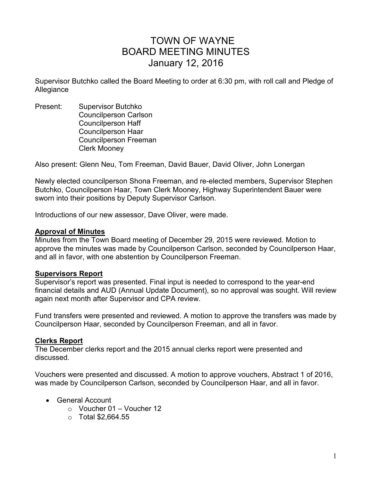# TOWN OF WAYNE BOARD MEETING MINUTES January 12, 2016

Supervisor Butchko called the Board Meeting to order at 6:30 pm, with roll call and Pledge of Allegiance

Present: Supervisor Butchko Councilperson Carlson Councilperson Haff Councilperson Haar Councilperson Freeman Clerk Mooney

Also present: Glenn Neu, Tom Freeman, David Bauer, David Oliver, John Lonergan

Newly elected councilperson Shona Freeman, and re-elected members, Supervisor Stephen Butchko, Councilperson Haar, Town Clerk Mooney, Highway Superintendent Bauer were sworn into their positions by Deputy Supervisor Carlson.

Introductions of our new assessor, Dave Oliver, were made.

#### **Approval of Minutes**

Minutes from the Town Board meeting of December 29, 2015 were reviewed. Motion to approve the minutes was made by Councilperson Carlson, seconded by Councilperson Haar, and all in favor, with one abstention by Councilperson Freeman.

#### **Supervisors Report**

Supervisor's report was presented. Final input is needed to correspond to the year-end financial details and AUD (Annual Update Document), so no approval was sought. Will review again next month after Supervisor and CPA review.

Fund transfers were presented and reviewed. A motion to approve the transfers was made by Councilperson Haar, seconded by Councilperson Freeman, and all in favor.

#### **Clerks Report**

The December clerks report and the 2015 annual clerks report were presented and discussed.

Vouchers were presented and discussed. A motion to approve vouchers, Abstract 1 of 2016, was made by Councilperson Carlson, seconded by Councilperson Haar, and all in favor.

- General Account
	- $\circ$  Voucher 01 Voucher 12
	- $\circ$  Total \$2,664.55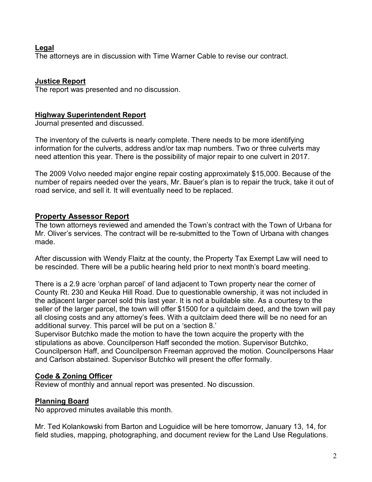## **Legal**

The attorneys are in discussion with Time Warner Cable to revise our contract.

# **Justice Report**

The report was presented and no discussion.

## **Highway Superintendent Report**

Journal presented and discussed.

The inventory of the culverts is nearly complete. There needs to be more identifying information for the culverts, address and/or tax map numbers. Two or three culverts may need attention this year. There is the possibility of major repair to one culvert in 2017.

The 2009 Volvo needed major engine repair costing approximately \$15,000. Because of the number of repairs needed over the years, Mr. Bauer's plan is to repair the truck, take it out of road service, and sell it. It will eventually need to be replaced.

# **Property Assessor Report**

The town attorneys reviewed and amended the Town's contract with the Town of Urbana for Mr. Oliver's services. The contract will be re-submitted to the Town of Urbana with changes made.

After discussion with Wendy Flaitz at the county, the Property Tax Exempt Law will need to be rescinded. There will be a public hearing held prior to next month's board meeting.

There is a 2.9 acre 'orphan parcel' of land adjacent to Town property near the corner of County Rt. 230 and Keuka Hill Road. Due to questionable ownership, it was not included in the adjacent larger parcel sold this last year. It is not a buildable site. As a courtesy to the seller of the larger parcel, the town will offer \$1500 for a quitclaim deed, and the town will pay all closing costs and any attorney's fees. With a quitclaim deed there will be no need for an additional survey. This parcel will be put on a 'section 8.'

Supervisor Butchko made the motion to have the town acquire the property with the stipulations as above. Councilperson Haff seconded the motion. Supervisor Butchko, Councilperson Haff, and Councilperson Freeman approved the motion. Councilpersons Haar and Carlson abstained. Supervisor Butchko will present the offer formally.

# **Code & Zoning Officer**

Review of monthly and annual report was presented. No discussion.

# **Planning Board**

No approved minutes available this month.

Mr. Ted Kolankowski from Barton and Loguidice will be here tomorrow, January 13, 14, for field studies, mapping, photographing, and document review for the Land Use Regulations.